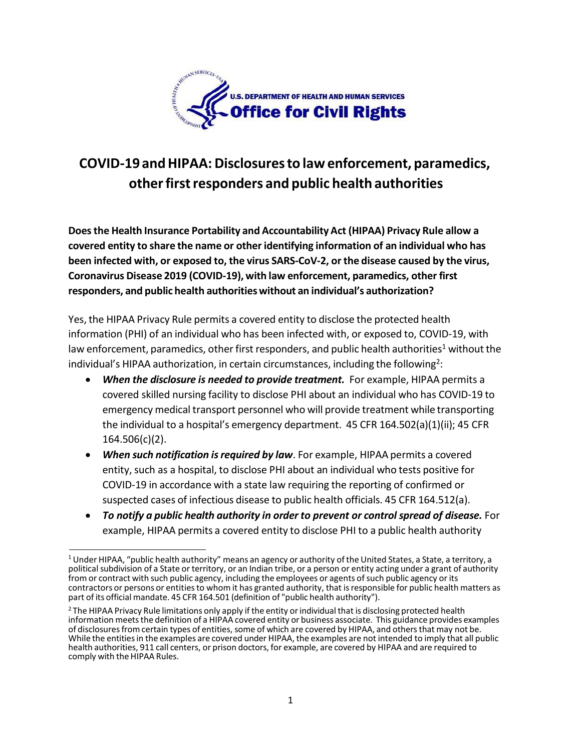

## **COVID-19 andHIPAA: Disclosuresto law enforcement, paramedics, otherfirstresponders and public health authorities**

**Doesthe Health Insurance Portability and Accountability Act (HIPAA) Privacy Rule allow a covered entity to share the name or other identifying information of an individual who has been infected with, or exposed to, the virus SARS-CoV-2, or the disease caused by the virus, Coronavirus Disease 2019 (COVID-19), with law enforcement, paramedics, other first responders, and public health authoritieswithout an individual's authorization?**

Yes, the HIPAA Privacy Rule permits a covered entity to disclose the protected health information (PHI) of an individual who has been infected with, or exposed to, COVID-19, with law enforcement, paramedics, other first responders, and public health authorities<sup>1</sup> without the individual's HIPAA authorization, in certain circumstances, including the following<sup>2</sup>:

- *When the disclosure is needed to provide treatment.* For example, HIPAA permits a covered skilled nursing facility to disclose PHI about an individual who has COVID-19 to emergency medical transport personnel who will provide treatment while transporting the individual to a hospital's emergency department. 45 CFR 164.502(a)(1)(ii); 45 CFR 164.506(c)(2).
- *When such notification isrequired by law*. For example, HIPAA permits a covered entity, such as a hospital, to disclose PHI about an individual who tests positive for COVID-19 in accordance with a state law requiring the reporting of confirmed or suspected cases of infectious disease to public health officials. 45 CFR 164.512(a).
- *To notify a public health authority in order to prevent or control spread of disease.* For example, HIPAA permits a covered entity to disclose PHI to a public health authority

<span id="page-0-0"></span> $1$  Under HIPAA, "public health authority" means an agency or authority of the United States, a State, a territory, a political subdivision of a State or territory, or an Indian tribe, or a person or entity acting under a grant of authority from or contract with such public agency, including the employees or agents of such public agency or its contractors or persons or entitiesto whom it has granted authority, that isresponsible for public health matters as part of its official mandate. 45 CFR 164.501 (definition of "public health authority").

<span id="page-0-1"></span><sup>&</sup>lt;sup>2</sup> The HIPAA Privacy Rule limitations only apply if the entity or individual that is disclosing protected health information meets the definition of a HIPAA covered entity or business associate. This guidance provides examples of disclosuresfrom certain types of entities, some of which are covered by HIPAA, and othersthat may not be. While the entitiesin the examples are covered under HIPAA, the examples are not intended to imply that all public health authorities, 911 call centers, or prison doctors, for example, are covered by HIPAA and are required to comply with the HIPAA Rules.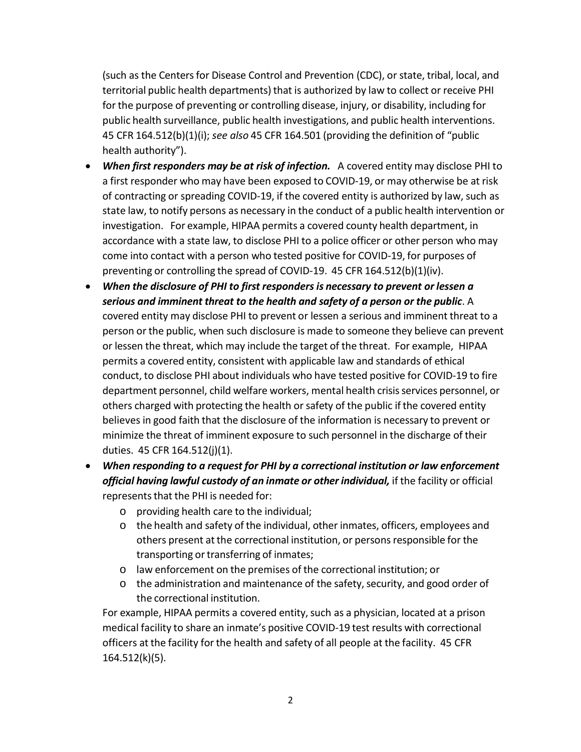(such as the Centersfor Disease Control and Prevention (CDC), or state, tribal, local, and territorial public health departments) that is authorized by law to collect or receive PHI for the purpose of preventing or controlling disease, injury, or disability, including for public health surveillance, public health investigations, and public health interventions. 45 CFR 164.512(b)(1)(i); *see also* 45 CFR 164.501 (providing the definition of "public health authority").

- *When first responders may be at risk of infection.* A covered entity may disclose PHI to a first responder who may have been exposed to COVID-19, or may otherwise be at risk of contracting or spreading COVID-19, if the covered entity is authorized by law, such as state law, to notify persons as necessary in the conduct of a public health intervention or investigation. For example, HIPAA permits a covered county health department, in accordance with a state law, to disclose PHI to a police officer or other person who may come into contact with a person who tested positive for COVID-19, for purposes of preventing or controlling the spread of COVID-19. 45 CFR 164.512(b)(1)(iv).
- *When the disclosure of PHI to first respondersis necessary to prevent or lessen a serious and imminent threat to the health and safety of a person or the public*. A covered entity may disclose PHI to prevent or lessen a serious and imminent threat to a person or the public, when such disclosure is made to someone they believe can prevent or lessen the threat, which may include the target of the threat. For example, HIPAA permits a covered entity, consistent with applicable law and standards of ethical conduct, to disclose PHI about individuals who have tested positive for COVID-19 to fire department personnel, child welfare workers, mental health crisis services personnel, or others charged with protecting the health or safety of the public if the covered entity believes in good faith that the disclosure of the information is necessary to prevent or minimize the threat of imminent exposure to such personnel in the discharge of their duties. 45 CFR 164.512(j)(1).
- *When responding to a request for PHI by a correctional institution or law enforcement official having lawful custody of an inmate or other individual,* if the facility or official represents that the PHI is needed for:
	- o providing health care to the individual;
	- o the health and safety of the individual, other inmates, officers, employees and others present at the correctional institution, or persons responsible for the transporting or transferring of inmates;
	- o law enforcement on the premises of the correctional institution; or
	- $\circ$  the administration and maintenance of the safety, security, and good order of the correctional institution.

For example, HIPAA permits a covered entity, such as a physician, located at a prison medical facility to share an inmate's positive COVID-19 test results with correctional officers at the facility for the health and safety of all people at the facility. 45 CFR 164.512(k)(5).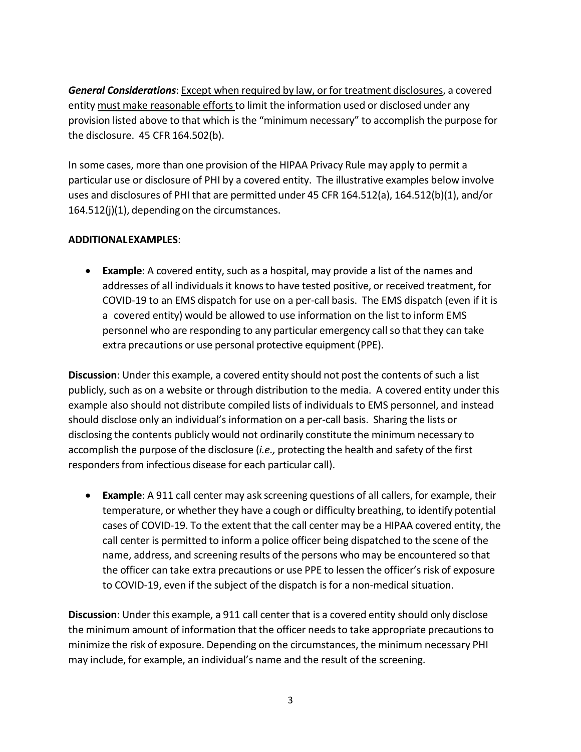*General Considerations*: Except when required by law, or for treatment disclosures, a covered entity must make reasonable efforts to limit the information used or disclosed under any provision listed above to that which is the "minimum necessary" to accomplish the purpose for the disclosure. 45 CFR 164.502(b).

In some cases, more than one provision of the HIPAA Privacy Rule may apply to permit a particular use or disclosure of PHI by a covered entity. The illustrative examples below involve uses and disclosures of PHI that are permitted under 45 CFR 164.512(a), 164.512(b)(1), and/or 164.512(j)(1), depending on the circumstances.

## **ADDITIONALEXAMPLES**:

• **Example**: A covered entity, such as a hospital, may provide a list of the names and addresses of all individuals it knowsto have tested positive, or received treatment, for COVID-19 to an EMS dispatch for use on a per-call basis. The EMS dispatch (even if it is a covered entity) would be allowed to use information on the list to inform EMS personnel who are responding to any particular emergency call so that they can take extra precautions or use personal protective equipment (PPE).

**Discussion**: Under this example, a covered entity should not post the contents of such a list publicly, such as on a website or through distribution to the media. A covered entity under this example also should not distribute compiled lists of individualsto EMS personnel, and instead should disclose only an individual's information on a per-call basis. Sharing the lists or disclosing the contents publicly would not ordinarily constitute the minimum necessary to accomplish the purpose of the disclosure (*i.e.,* protecting the health and safety of the first responders from infectious disease for each particular call).

• **Example**: A 911 call center may ask screening questions of all callers, for example, their temperature, or whether they have a cough or difficulty breathing, to identify potential cases of COVID-19. To the extent that the call center may be a HIPAA covered entity, the call center is permitted to inform a police officer being dispatched to the scene of the name, address, and screening results of the persons who may be encountered so that the officer can take extra precautions or use PPE to lessen the officer's risk of exposure to COVID-19, even if the subject of the dispatch is for a non-medical situation.

**Discussion**: Under this example, a 911 call center that is a covered entity should only disclose the minimum amount of information that the officer needsto take appropriate precautionsto minimize the risk of exposure. Depending on the circumstances, the minimum necessary PHI may include, for example, an individual's name and the result of the screening.